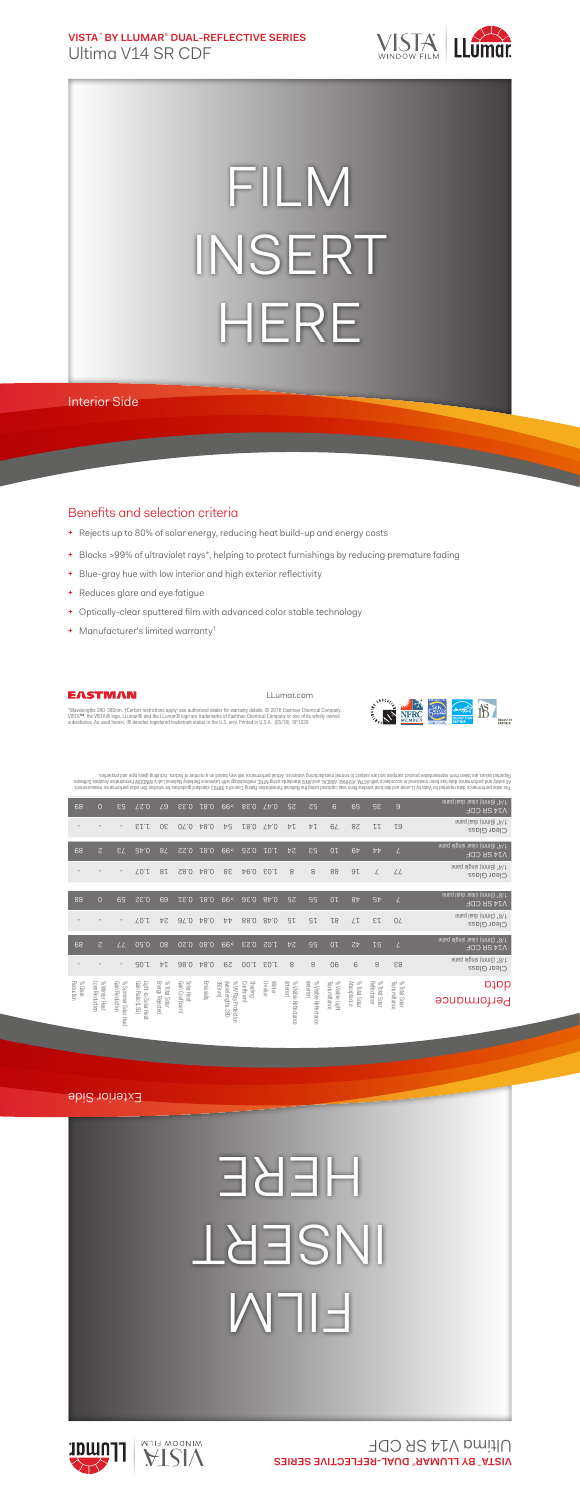**VISTA**™  **BY LLUMAR**®  **DUAL-REFLECTIVE SERIES** Ultima V14 SR CDF



## FILM INSERT HERE

Interior Side

## Benefits and selection criteria

- **+** Rejects up to 80% of solar energy, reducing heat build-up and energy costs
- **+** Blocks >99% of ultraviolet rays\*, helping to protect furnishings by reducing premature fading
- **+** Blue-gray hue with low interior and high exterior reflectivity
- **+** Reduces glare and eye fatigue
- **+** Optically-clear sputtered film with advanced color stable technology
- **+** Manufacturer's limited warranty†



LLumar.com



"Wavelengths 280-380nm. †Certain restrictions apply; see authorized dealer for warranty details. © 2016 Eastman Chemical Company.<br>VISTA™, the VISTA® logo, LLumar® and the LLumar® logo are trademarks of Eastman Chemical Com